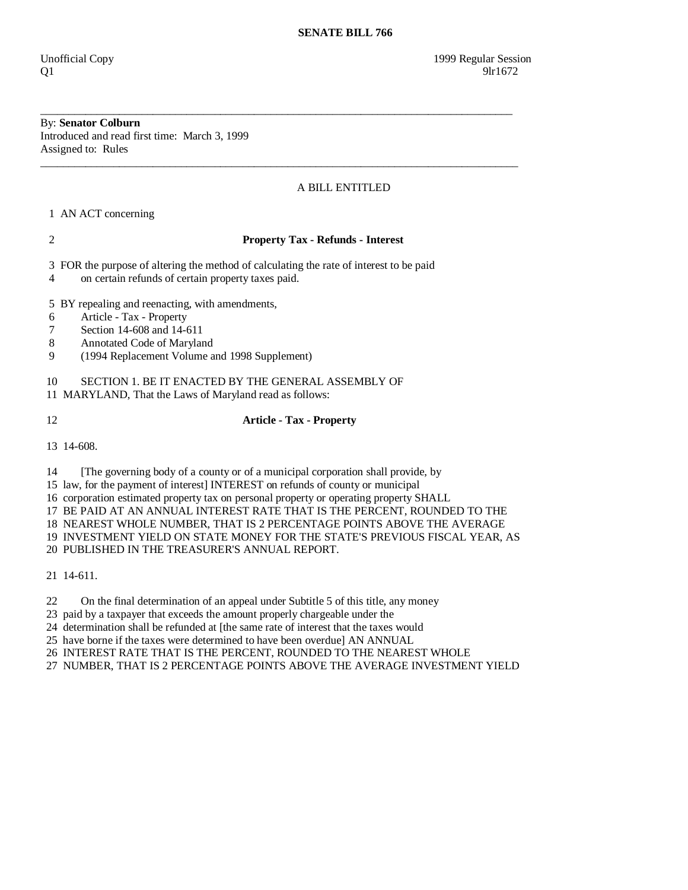## By: **Senator Colburn**  Introduced and read first time: March 3, 1999 Assigned to: Rules

## A BILL ENTITLED

1 AN ACT concerning

## 2 **Property Tax - Refunds - Interest**

3 FOR the purpose of altering the method of calculating the rate of interest to be paid

\_\_\_\_\_\_\_\_\_\_\_\_\_\_\_\_\_\_\_\_\_\_\_\_\_\_\_\_\_\_\_\_\_\_\_\_\_\_\_\_\_\_\_\_\_\_\_\_\_\_\_\_\_\_\_\_\_\_\_\_\_\_\_\_\_\_\_\_\_\_\_\_\_\_\_\_\_\_\_\_\_\_\_\_

\_\_\_\_\_\_\_\_\_\_\_\_\_\_\_\_\_\_\_\_\_\_\_\_\_\_\_\_\_\_\_\_\_\_\_\_\_\_\_\_\_\_\_\_\_\_\_\_\_\_\_\_\_\_\_\_\_\_\_\_\_\_\_\_\_\_\_\_\_\_\_\_\_\_\_\_\_\_\_\_\_\_\_\_\_

4 on certain refunds of certain property taxes paid.

5 BY repealing and reenacting, with amendments,

- 6 Article Tax Property
- 7 Section 14-608 and 14-611
- 8 Annotated Code of Maryland
- 9 (1994 Replacement Volume and 1998 Supplement)
- 10 SECTION 1. BE IT ENACTED BY THE GENERAL ASSEMBLY OF
- 11 MARYLAND, That the Laws of Maryland read as follows:

## 12 **Article - Tax - Property**

13 14-608.

14 [The governing body of a county or of a municipal corporation shall provide, by

15 law, for the payment of interest] INTEREST on refunds of county or municipal

16 corporation estimated property tax on personal property or operating property SHALL

17 BE PAID AT AN ANNUAL INTEREST RATE THAT IS THE PERCENT, ROUNDED TO THE

18 NEAREST WHOLE NUMBER, THAT IS 2 PERCENTAGE POINTS ABOVE THE AVERAGE

19 INVESTMENT YIELD ON STATE MONEY FOR THE STATE'S PREVIOUS FISCAL YEAR, AS

20 PUBLISHED IN THE TREASURER'S ANNUAL REPORT.

21 14-611.

22 On the final determination of an appeal under Subtitle 5 of this title, any money

23 paid by a taxpayer that exceeds the amount properly chargeable under the

24 determination shall be refunded at [the same rate of interest that the taxes would

25 have borne if the taxes were determined to have been overdue] AN ANNUAL

26 INTEREST RATE THAT IS THE PERCENT, ROUNDED TO THE NEAREST WHOLE

27 NUMBER, THAT IS 2 PERCENTAGE POINTS ABOVE THE AVERAGE INVESTMENT YIELD